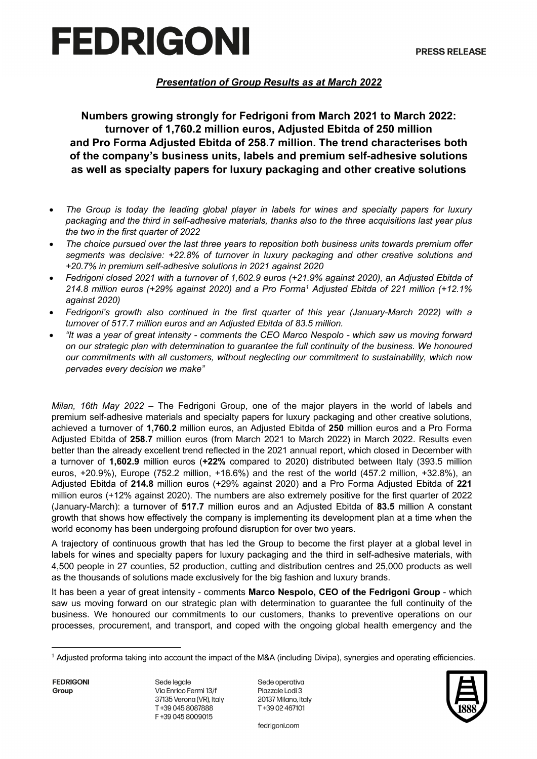# FEDRIGONI

### *Presentation of Group Results as at March 2022*

**Numbers growing strongly for Fedrigoni from March 2021 to March 2022: turnover of 1,760.2 million euros, Adjusted Ebitda of 250 million and Pro Forma Adjusted Ebitda of 258.7 million. The trend characterises both of the company's business units, labels and premium self-adhesive solutions as well as specialty papers for luxury packaging and other creative solutions** 

- *The Group is today the leading global player in labels for wines and specialty papers for luxury packaging and the third in self-adhesive materials, thanks also to the three acquisitions last year plus the two in the first quarter of 2022*
- *The choice pursued over the last three years to reposition both business units towards premium offer segments was decisive: +22.8% of turnover in luxury packaging and other creative solutions and +20.7% in premium self-adhesive solutions in 2021 against 2020*
- *Fedrigoni closed 2021 with a turnover of 1,602.9 euros (+21.9% against 2020), an Adjusted Ebitda of 214.8 million euros (+29% against 2020) and a Pro Forma1 Adjusted Ebitda of 221 million (+12.1% against 2020)*
- *Fedrigoni's growth also continued in the first quarter of this year (January-March 2022) with a turnover of 517.7 million euros and an Adjusted Ebitda of 83.5 million.*
- *"It was a year of great intensity - comments the CEO Marco Nespolo - which saw us moving forward on our strategic plan with determination to guarantee the full continuity of the business. We honoured our commitments with all customers, without neglecting our commitment to sustainability, which now pervades every decision we make"*

*Milan, 16th May 2022 –* The Fedrigoni Group, one of the major players in the world of labels and premium self-adhesive materials and specialty papers for luxury packaging and other creative solutions, achieved a turnover of **1,760.2** million euros, an Adjusted Ebitda of **250** million euros and a Pro Forma Adjusted Ebitda of **258.7** million euros (from March 2021 to March 2022) in March 2022. Results even better than the already excellent trend reflected in the 2021 annual report, which closed in December with a turnover of **1,602.9** million euros (**+22%** compared to 2020) distributed between Italy (393.5 million euros, +20.9%), Europe (752.2 million, +16.6%) and the rest of the world (457.2 million, +32.8%), an Adjusted Ebitda of **214.8** million euros (+29% against 2020) and a Pro Forma Adjusted Ebitda of **221** million euros (+12% against 2020). The numbers are also extremely positive for the first quarter of 2022 (January-March): a turnover of **517.7** million euros and an Adjusted Ebitda of **83.5** million A constant growth that shows how effectively the company is implementing its development plan at a time when the world economy has been undergoing profound disruption for over two years.

A trajectory of continuous growth that has led the Group to become the first player at a global level in labels for wines and specialty papers for luxury packaging and the third in self-adhesive materials, with 4,500 people in 27 counties, 52 production, cutting and distribution centres and 25,000 products as well as the thousands of solutions made exclusively for the big fashion and luxury brands.

It has been a year of great intensity - comments **Marco Nespolo, CEO of the Fedrigoni Group** - which saw us moving forward on our strategic plan with determination to guarantee the full continuity of the business. We honoured our commitments to our customers, thanks to preventive operations on our processes, procurement, and transport, and coped with the ongoing global health emergency and the

**FEDRIGONI** Group

Sede legale Via Enrico Fermi 13/f 37135 Verona (VR), Italy T+39 045 8087888 F+39 045 8009015

Sede operativa Piazzale Lodi 3 20137 Milano, Italy T+39 02 467101



fedrigoni.com

 $1$  Adjusted proforma taking into account the impact of the M&A (including Divipa), synergies and operating efficiencies.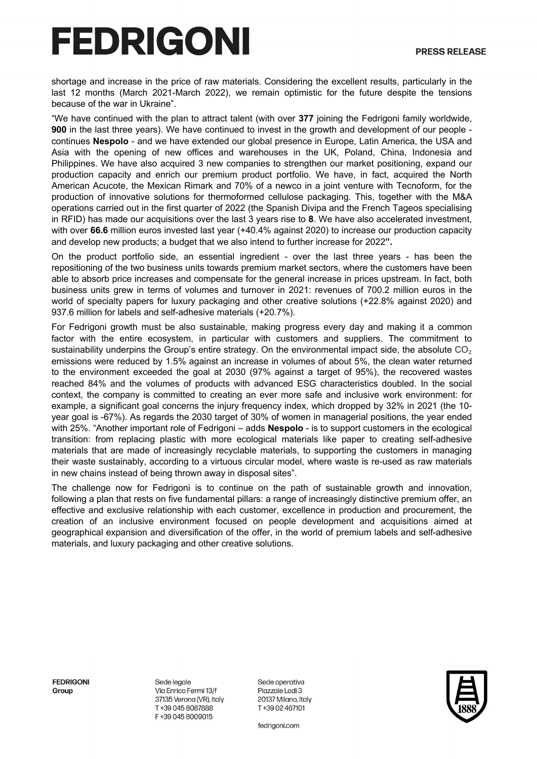# FEDRIGONI

shortage and increase in the price of raw materials. Considering the excellent results, particularly in the last 12 months (March 2021-March 2022), we remain optimistic for the future despite the tensions because of the war in Ukraine".

"We have continued with the plan to attract talent (with over **377** joining the Fedrigoni family worldwide, **900** in the last three years). We have continued to invest in the growth and development of our people continues **Nespolo** - and we have extended our global presence in Europe, Latin America, the USA and Asia with the opening of new offices and warehouses in the UK, Poland, China, Indonesia and Philippines. We have also acquired 3 new companies to strengthen our market positioning, expand our production capacity and enrich our premium product portfolio. We have, in fact, acquired the North American Acucote, the Mexican Rimark and 70% of a newco in a joint venture with Tecnoform, for the production of innovative solutions for thermoformed cellulose packaging. This, together with the M&A operations carried out in the first quarter of 2022 (the Spanish Divipa and the French Tageos specialising in RFID) has made our acquisitions over the last 3 years rise to **8**. We have also accelerated investment, with over 66.6 million euros invested last year (+40.4% against 2020) to increase our production capacity and develop new products; a budget that we also intend to further increase for 2022**".**

On the product portfolio side, an essential ingredient - over the last three years - has been the repositioning of the two business units towards premium market sectors, where the customers have been able to absorb price increases and compensate for the general increase in prices upstream. In fact, both business units grew in terms of volumes and turnover in 2021: revenues of 700.2 million euros in the world of specialty papers for luxury packaging and other creative solutions (+22.8% against 2020) and 937.6 million for labels and self-adhesive materials (+20.7%).

For Fedrigoni growth must be also sustainable, making progress every day and making it a common factor with the entire ecosystem, in particular with customers and suppliers. The commitment to sustainability underpins the Group's entire strategy. On the environmental impact side, the absolute  $CO<sub>2</sub>$ emissions were reduced by 1.5% against an increase in volumes of about 5%, the clean water returned to the environment exceeded the goal at 2030 (97% against a target of 95%), the recovered wastes reached 84% and the volumes of products with advanced ESG characteristics doubled. In the social context, the company is committed to creating an ever more safe and inclusive work environment: for example, a significant goal concerns the injury frequency index, which dropped by 32% in 2021 (the 10 year goal is -67%). As regards the 2030 target of 30% of women in managerial positions, the year ended with 25%. "Another important role of Fedrigoni – adds **Nespolo** - is to support customers in the ecological transition: from replacing plastic with more ecological materials like paper to creating self-adhesive materials that are made of increasingly recyclable materials, to supporting the customers in managing their waste sustainably, according to a virtuous circular model, where waste is re-used as raw materials in new chains instead of being thrown away in disposal sites".

The challenge now for Fedrigoni is to continue on the path of sustainable growth and innovation, following a plan that rests on five fundamental pillars: a range of increasingly distinctive premium offer, an effective and exclusive relationship with each customer, excellence in production and procurement, the creation of an inclusive environment focused on people development and acquisitions aimed at geographical expansion and diversification of the offer, in the world of premium labels and self-adhesive materials, and luxury packaging and other creative solutions.

**FFDRIGONI** Group

Sede legale Via Enrico Fermi 13/f 37135 Verona (VR), Italy T+39 045 8087888 F+39 045 8009015

Sede operativa Piazzale Lodi 3 20137 Milano, Italy T+39 02 467101

fedrigoni.com